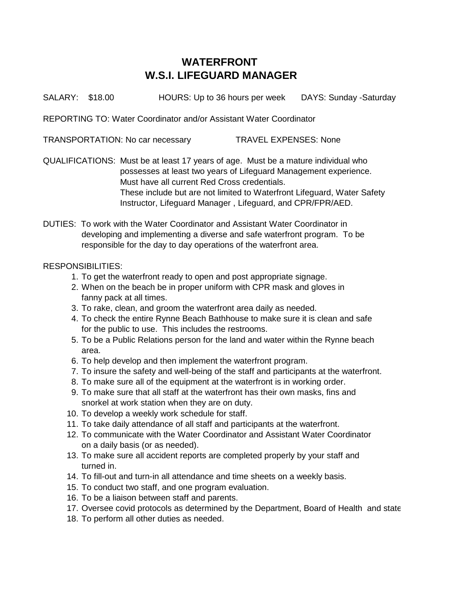## **WATERFRONT W.S.I. LIFEGUARD MANAGER**

SALARY: \$18.00 HOURS: Up to 36 hours per week DAYS: Sunday -Saturday

REPORTING TO: Water Coordinator and/or Assistant Water Coordinator

TRANSPORTATION: No car necessary TRAVEL EXPENSES: None

QUALIFICATIONS: Must be at least 17 years of age. Must be a mature individual who possesses at least two years of Lifeguard Management experience. Must have all current Red Cross credentials. These include but are not limited to Waterfront Lifeguard, Water Safety Instructor, Lifeguard Manager , Lifeguard, and CPR/FPR/AED.

DUTIES: To work with the Water Coordinator and Assistant Water Coordinator in developing and implementing a diverse and safe waterfront program. To be responsible for the day to day operations of the waterfront area.

## RESPONSIBILITIES:

- 1. To get the waterfront ready to open and post appropriate signage.
- 2. When on the beach be in proper uniform with CPR mask and gloves in fanny pack at all times.
- 3. To rake, clean, and groom the waterfront area daily as needed.
- 4. To check the entire Rynne Beach Bathhouse to make sure it is clean and safe for the public to use. This includes the restrooms.
- 5. To be a Public Relations person for the land and water within the Rynne beach area.
- 6. To help develop and then implement the waterfront program.
- 7. To insure the safety and well-being of the staff and participants at the waterfront.
- 8. To make sure all of the equipment at the waterfront is in working order.
- 9. To make sure that all staff at the waterfront has their own masks, fins and snorkel at work station when they are on duty.
- 10. To develop a weekly work schedule for staff.
- 11. To take daily attendance of all staff and participants at the waterfront.
- 12. To communicate with the Water Coordinator and Assistant Water Coordinator on a daily basis (or as needed).
- 13. To make sure all accident reports are completed properly by your staff and turned in.
- 14. To fill-out and turn-in all attendance and time sheets on a weekly basis.
- 15. To conduct two staff, and one program evaluation.
- 16. To be a liaison between staff and parents.
- 17. Oversee covid protocols as determined by the Department, Board of Health and state
- 18. To perform all other duties as needed.